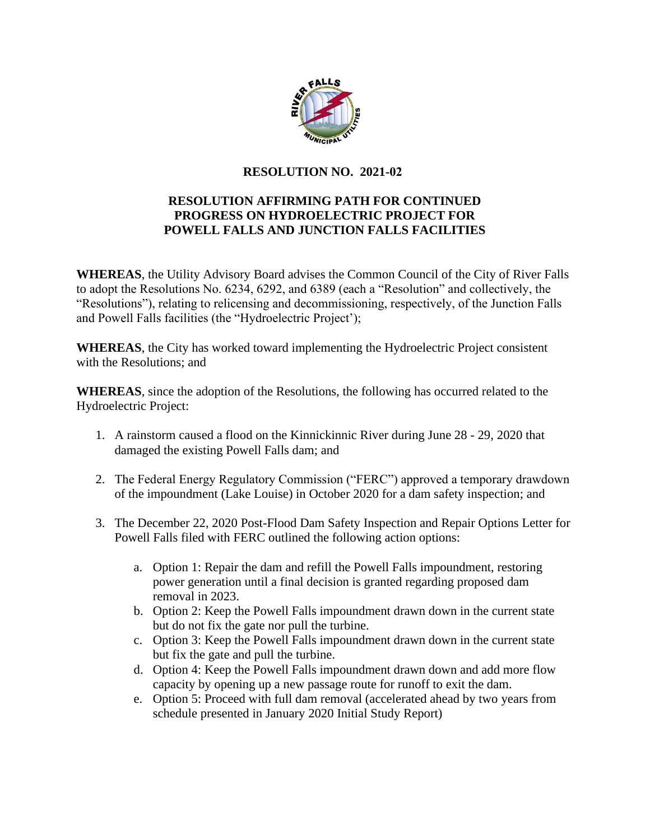

## **RESOLUTION NO. 2021-02**

## **RESOLUTION AFFIRMING PATH FOR CONTINUED PROGRESS ON HYDROELECTRIC PROJECT FOR POWELL FALLS AND JUNCTION FALLS FACILITIES**

**WHEREAS**, the Utility Advisory Board advises the Common Council of the City of River Falls to adopt the Resolutions No. 6234, 6292, and 6389 (each a "Resolution" and collectively, the "Resolutions"), relating to relicensing and decommissioning, respectively, of the Junction Falls and Powell Falls facilities (the "Hydroelectric Project');

**WHEREAS**, the City has worked toward implementing the Hydroelectric Project consistent with the Resolutions; and

**WHEREAS**, since the adoption of the Resolutions, the following has occurred related to the Hydroelectric Project:

- 1. A rainstorm caused a flood on the Kinnickinnic River during June 28 29, 2020 that damaged the existing Powell Falls dam; and
- 2. The Federal Energy Regulatory Commission ("FERC") approved a temporary drawdown of the impoundment (Lake Louise) in October 2020 for a dam safety inspection; and
- 3. The December 22, 2020 Post-Flood Dam Safety Inspection and Repair Options Letter for Powell Falls filed with FERC outlined the following action options:
	- a. Option 1: Repair the dam and refill the Powell Falls impoundment, restoring power generation until a final decision is granted regarding proposed dam removal in 2023.
	- b. Option 2: Keep the Powell Falls impoundment drawn down in the current state but do not fix the gate nor pull the turbine.
	- c. Option 3: Keep the Powell Falls impoundment drawn down in the current state but fix the gate and pull the turbine.
	- d. Option 4: Keep the Powell Falls impoundment drawn down and add more flow capacity by opening up a new passage route for runoff to exit the dam.
	- e. Option 5: Proceed with full dam removal (accelerated ahead by two years from schedule presented in January 2020 Initial Study Report)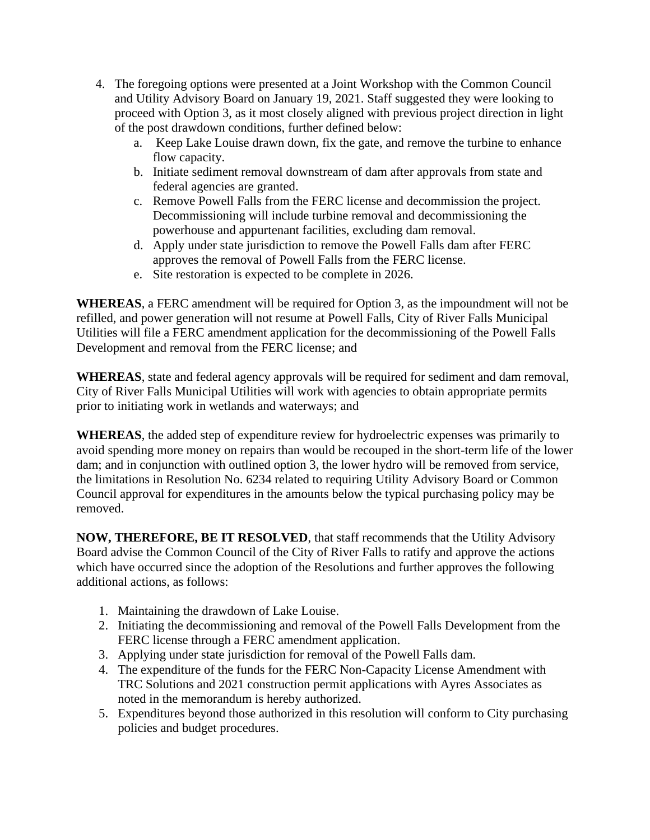- 4. The foregoing options were presented at a Joint Workshop with the Common Council and Utility Advisory Board on January 19, 2021. Staff suggested they were looking to proceed with Option 3, as it most closely aligned with previous project direction in light of the post drawdown conditions, further defined below:
	- a. Keep Lake Louise drawn down, fix the gate, and remove the turbine to enhance flow capacity.
	- b. Initiate sediment removal downstream of dam after approvals from state and federal agencies are granted.
	- c. Remove Powell Falls from the FERC license and decommission the project. Decommissioning will include turbine removal and decommissioning the powerhouse and appurtenant facilities, excluding dam removal.
	- d. Apply under state jurisdiction to remove the Powell Falls dam after FERC approves the removal of Powell Falls from the FERC license.
	- e. Site restoration is expected to be complete in 2026.

**WHEREAS**, a FERC amendment will be required for Option 3, as the impoundment will not be refilled, and power generation will not resume at Powell Falls, City of River Falls Municipal Utilities will file a FERC amendment application for the decommissioning of the Powell Falls Development and removal from the FERC license; and

**WHEREAS**, state and federal agency approvals will be required for sediment and dam removal, City of River Falls Municipal Utilities will work with agencies to obtain appropriate permits prior to initiating work in wetlands and waterways; and

**WHEREAS**, the added step of expenditure review for hydroelectric expenses was primarily to avoid spending more money on repairs than would be recouped in the short-term life of the lower dam; and in conjunction with outlined option 3, the lower hydro will be removed from service, the limitations in Resolution No. 6234 related to requiring Utility Advisory Board or Common Council approval for expenditures in the amounts below the typical purchasing policy may be removed.

**NOW, THEREFORE, BE IT RESOLVED**, that staff recommends that the Utility Advisory Board advise the Common Council of the City of River Falls to ratify and approve the actions which have occurred since the adoption of the Resolutions and further approves the following additional actions, as follows:

- 1. Maintaining the drawdown of Lake Louise.
- 2. Initiating the decommissioning and removal of the Powell Falls Development from the FERC license through a FERC amendment application.
- 3. Applying under state jurisdiction for removal of the Powell Falls dam.
- 4. The expenditure of the funds for the FERC Non-Capacity License Amendment with TRC Solutions and 2021 construction permit applications with Ayres Associates as noted in the memorandum is hereby authorized.
- 5. Expenditures beyond those authorized in this resolution will conform to City purchasing policies and budget procedures.